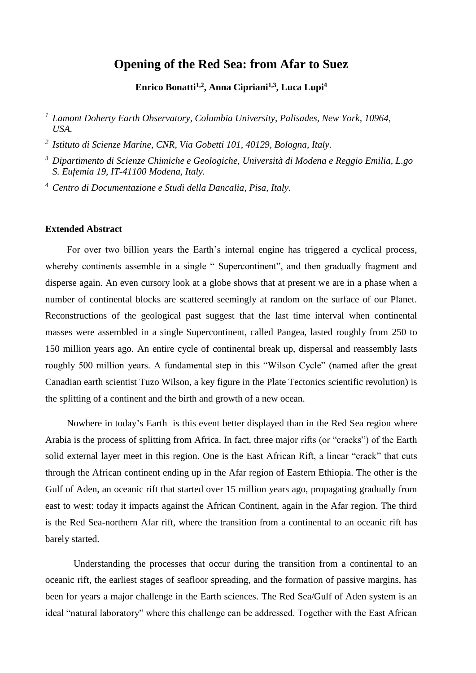## **Opening of the Red Sea: from Afar to Suez**

**Enrico Bonatti1,2, Anna Cipriani1,3 , Luca Lupi<sup>4</sup>**

- *<sup>1</sup> Lamont Doherty Earth Observatory, Columbia University, Palisades, New York, 10964, USA.*
- *2 Istituto di Scienze Marine, CNR, Via Gobetti 101, 40129, Bologna, Italy.*
- *<sup>3</sup> Dipartimento di Scienze Chimiche e Geologiche, Università di Modena e Reggio Emilia, L.go S. Eufemia 19, IT-41100 Modena, Italy.*
- *<sup>4</sup> Centro di Documentazione e Studi della Dancalia, Pisa, Italy.*

## **Extended Abstract**

For over two billion years the Earth's internal engine has triggered a cyclical process, whereby continents assemble in a single "Supercontinent", and then gradually fragment and disperse again. An even cursory look at a globe shows that at present we are in a phase when a number of continental blocks are scattered seemingly at random on the surface of our Planet. Reconstructions of the geological past suggest that the last time interval when continental masses were assembled in a single Supercontinent, called Pangea, lasted roughly from 250 to 150 million years ago. An entire cycle of continental break up, dispersal and reassembly lasts roughly 500 million years. A fundamental step in this "Wilson Cycle" (named after the great Canadian earth scientist Tuzo Wilson, a key figure in the Plate Tectonics scientific revolution) is the splitting of a continent and the birth and growth of a new ocean.

Nowhere in today's Earth is this event better displayed than in the Red Sea region where Arabia is the process of splitting from Africa. In fact, three major rifts (or "cracks") of the Earth solid external layer meet in this region. One is the East African Rift, a linear "crack" that cuts through the African continent ending up in the Afar region of Eastern Ethiopia. The other is the Gulf of Aden, an oceanic rift that started over 15 million years ago, propagating gradually from east to west: today it impacts against the African Continent, again in the Afar region. The third is the Red Sea-northern Afar rift, where the transition from a continental to an oceanic rift has barely started.

Understanding the processes that occur during the transition from a continental to an oceanic rift, the earliest stages of seafloor spreading, and the formation of passive margins, has been for years a major challenge in the Earth sciences. The Red Sea/Gulf of Aden system is an ideal "natural laboratory" where this challenge can be addressed. Together with the East African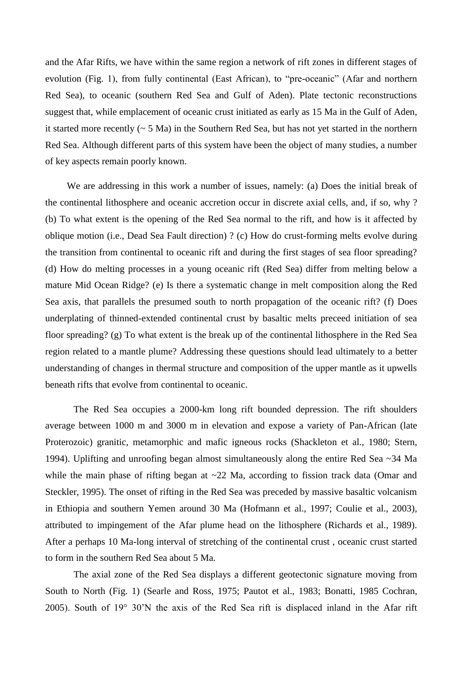and the Afar Rifts, we have within the same region a network of rift zones in different stages of evolution (Fig. 1), from fully continental (East African), to "pre-oceanic" (Afar and northern Red Sea), to oceanic (southern Red Sea and Gulf of Aden). Plate tectonic reconstructions suggest that, while emplacement of oceanic crust initiated as early as 15 Ma in the Gulf of Aden, it started more recently (~ 5 Ma) in the Southern Red Sea, but has not yet started in the northern Red Sea. Although different parts of this system have been the object of many studies, a number of key aspects remain poorly known.

We are addressing in this work a number of issues, namely: (a) Does the initial break of the continental lithosphere and oceanic accretion occur in discrete axial cells, and, if so, why ? (b) To what extent is the opening of the Red Sea normal to the rift, and how is it affected by oblique motion (i.e., Dead Sea Fault direction) ? (c) How do crust-forming melts evolve during the transition from continental to oceanic rift and during the first stages of sea floor spreading? (d) How do melting processes in a young oceanic rift (Red Sea) differ from melting below a mature Mid Ocean Ridge? (e) Is there a systematic change in melt composition along the Red Sea axis, that parallels the presumed south to north propagation of the oceanic rift? (f) Does underplating of thinned-extended continental crust by basaltic melts preceed initiation of sea floor spreading? (g) To what extent is the break up of the continental lithosphere in the Red Sea region related to a mantle plume? Addressing these questions should lead ultimately to a better understanding of changes in thermal structure and composition of the upper mantle as it upwells beneath rifts that evolve from continental to oceanic.

The Red Sea occupies a 2000-km long rift bounded depression. The rift shoulders average between 1000 m and 3000 m in elevation and expose a variety of Pan-African (late Proterozoic) granitic, metamorphic and mafic igneous rocks (Shackleton et al., 1980; Stern, 1994). Uplifting and unroofing began almost simultaneously along the entire Red Sea ~34 Ma while the main phase of rifting began at  $\sim$  22 Ma, according to fission track data (Omar and Steckler, 1995). The onset of rifting in the Red Sea was preceded by massive basaltic volcanism in Ethiopia and southern Yemen around 30 Ma (Hofmann et al., 1997; Coulie et al., 2003), attributed to impingement of the Afar plume head on the lithosphere (Richards et al., 1989). After a perhaps 10 Ma-long interval of stretching of the continental crust , oceanic crust started to form in the southern Red Sea about 5 Ma.

The axial zone of the Red Sea displays a different geotectonic signature moving from South to North (Fig. 1) (Searle and Ross, 1975; Pautot et al., 1983; Bonatti, 1985 Cochran, 2005). South of 19° 30'N the axis of the Red Sea rift is displaced inland in the Afar rift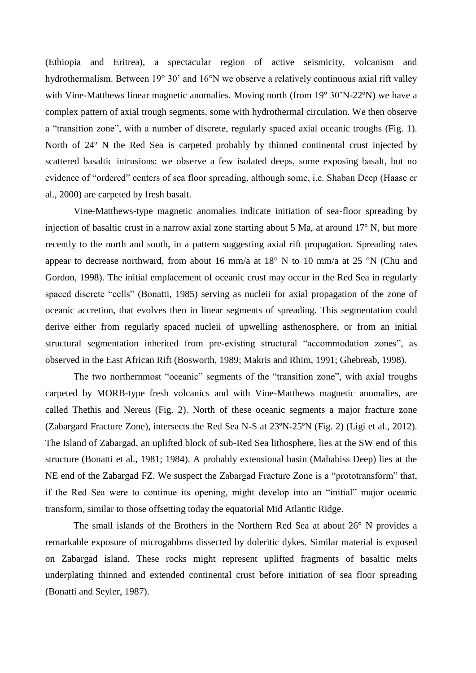(Ethiopia and Eritrea), a spectacular region of active seismicity, volcanism and hydrothermalism. Between 19° 30' and 16°N we observe a relatively continuous axial rift valley with Vine-Matthews linear magnetic anomalies. Moving north (from 19<sup>°</sup> 30'N-22°N) we have a complex pattern of axial trough segments, some with hydrothermal circulation. We then observe a "transition zone", with a number of discrete, regularly spaced axial oceanic troughs (Fig. 1). North of 24º N the Red Sea is carpeted probably by thinned continental crust injected by scattered basaltic intrusions: we observe a few isolated deeps, some exposing basalt, but no evidence of "ordered" centers of sea floor spreading, although some, i.e. Shaban Deep (Haase er al., 2000) are carpeted by fresh basalt.

Vine-Matthews-type magnetic anomalies indicate initiation of sea-floor spreading by injection of basaltic crust in a narrow axial zone starting about 5 Ma, at around 17º N, but more recently to the north and south, in a pattern suggesting axial rift propagation. Spreading rates appear to decrease northward, from about 16 mm/a at 18 $^{\circ}$  N to 10 mm/a at 25  $^{\circ}$ N (Chu and Gordon, 1998). The initial emplacement of oceanic crust may occur in the Red Sea in regularly spaced discrete "cells" (Bonatti, 1985) serving as nucleii for axial propagation of the zone of oceanic accretion, that evolves then in linear segments of spreading. This segmentation could derive either from regularly spaced nucleii of upwelling asthenosphere, or from an initial structural segmentation inherited from pre-existing structural "accommodation zones", as observed in the East African Rift (Bosworth, 1989; Makris and Rhim, 1991; Ghebreab, 1998).

The two northernmost "oceanic" segments of the "transition zone", with axial troughs carpeted by MORB-type fresh volcanics and with Vine-Matthews magnetic anomalies, are called Thethis and Nereus (Fig. 2). North of these oceanic segments a major fracture zone (Zabargard Fracture Zone), intersects the Red Sea N-S at 23ºN-25ºN (Fig. 2) (Ligi et al., 2012). The Island of Zabargad, an uplifted block of sub-Red Sea lithosphere, lies at the SW end of this structure (Bonatti et al., 1981; 1984). A probably extensional basin (Mahabiss Deep) lies at the NE end of the Zabargad FZ. We suspect the Zabargad Fracture Zone is a "prototransform" that, if the Red Sea were to continue its opening, might develop into an "initial" major oceanic transform, similar to those offsetting today the equatorial Mid Atlantic Ridge.

The small islands of the Brothers in the Northern Red Sea at about 26° N provides a remarkable exposure of microgabbros dissected by doleritic dykes. Similar material is exposed on Zabargad island. These rocks might represent uplifted fragments of basaltic melts underplating thinned and extended continental crust before initiation of sea floor spreading (Bonatti and Seyler, 1987).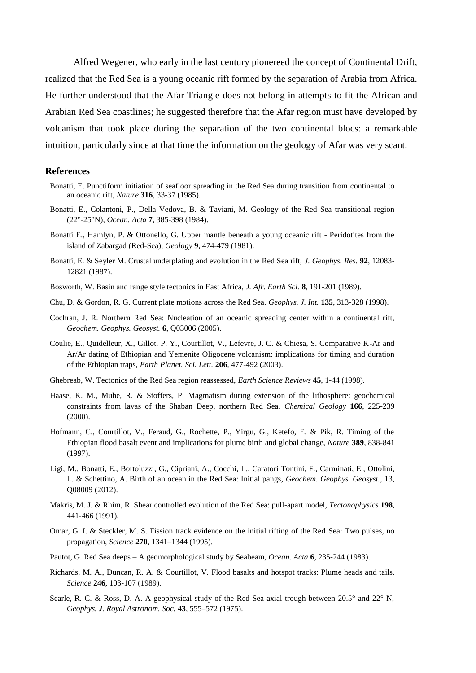Alfred Wegener, who early in the last century pionereed the concept of Continental Drift, realized that the Red Sea is a young oceanic rift formed by the separation of Arabia from Africa. He further understood that the Afar Triangle does not belong in attempts to fit the African and Arabian Red Sea coastlines; he suggested therefore that the Afar region must have developed by volcanism that took place during the separation of the two continental blocs: a remarkable intuition, particularly since at that time the information on the geology of Afar was very scant.

## **References**

- Bonatti, E. Punctiform initiation of seafloor spreading in the Red Sea during transition from continental to an oceanic rift, *Nature* **316**, 33-37 (1985).
- Bonatti, E., Colantoni, P., Della Vedova, B. & Taviani, M. Geology of the Red Sea transitional region (22°-25°N), *Ocean. Acta* **7**, 385-398 (1984).
- Bonatti E., Hamlyn, P. & Ottonello, G. Upper mantle beneath a young oceanic rift Peridotites from the island of Zabargad (Red-Sea), *Geology* **9**, 474-479 (1981).
- Bonatti, E. & Seyler M. Crustal underplating and evolution in the Red Sea rift, *J. Geophys. Res.* **92**, 12083- 12821 (1987).
- Bosworth, W. Basin and range style tectonics in East Africa, *J. Afr. Earth Sci.* **8**, 191-201 (1989).
- Chu, D. & Gordon, R. G. Current plate motions across the Red Sea. *Geophys. J. Int.* **135**, 313-328 (1998).
- Cochran, J. R. Northern Red Sea: Nucleation of an oceanic spreading center within a continental rift, *Geochem. Geophys. Geosyst.* **6**, Q03006 (2005).
- Coulie, E., Quidelleur, X., Gillot, P. Y., Courtillot, V., Lefevre, J. C. & Chiesa, S. Comparative K-Ar and Ar/Ar dating of Ethiopian and Yemenite Oligocene volcanism: implications for timing and duration of the Ethiopian traps, *Earth Planet. Sci. Lett.* **206**, 477-492 (2003).
- Ghebreab, W. Tectonics of the Red Sea region reassessed, *Earth Science Reviews* **45**, 1-44 (1998).
- Haase, K. M., Muhe, R. & Stoffers, P. Magmatism during extension of the lithosphere: geochemical constraints from lavas of the Shaban Deep, northern Red Sea. *Chemical Geology* **166**, 225-239 (2000).
- Hofmann, C., Courtillot, V., Feraud, G., Rochette, P., Yirgu, G., Ketefo, E. & Pik, R. Timing of the Ethiopian flood basalt event and implications for plume birth and global change, *Nature* **389**, 838-841 (1997).
- Ligi, M., Bonatti, E., Bortoluzzi, G., Cipriani, A., Cocchi, L., Caratori Tontini, F., Carminati, E., Ottolini, L. & Schettino, A. Birth of an ocean in the Red Sea: Initial pangs, *Geochem. Geophys. Geosyst.*, 13, Q08009 (2012).
- Makris, M. J. & Rhim, R. Shear controlled evolution of the Red Sea: pull-apart model, *Tectonophysics* **198**, 441-466 (1991).
- Omar, G. I. & Steckler, M. S. Fission track evidence on the initial rifting of the Red Sea: Two pulses, no propagation, *Science* **270**, 1341–1344 (1995).
- Pautot, G. Red Sea deeps A geomorphological study by Seabeam, *Ocean. Acta* **6**, 235-244 (1983).
- Richards, M. A., Duncan, R. A. & Courtillot, V. Flood basalts and hotspot tracks: Plume heads and tails. *Science* **246**, 103-107 (1989).
- Searle, R. C. & Ross, D. A. A geophysical study of the Red Sea axial trough between 20.5° and 22° N, *Geophys. J. Royal Astronom. Soc.* **43***,* 555–572 (1975).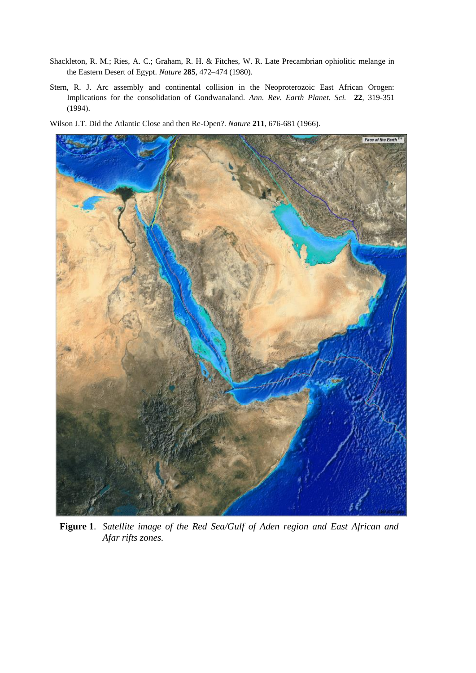- Shackleton, R. M.; Ries, A. C.; Graham, R. H. & Fitches, W. R. Late Precambrian ophiolitic melange in the Eastern Desert of Egypt. *Nature* **285**, 472–474 (1980).
- Stern, R. J. Arc assembly and continental collision in the Neoproterozoic East African Orogen: Implications for the consolidation of Gondwanaland. *Ann. Rev. Earth Planet. Sci.* **22**, 319-351 (1994).
- Wilson J.T. Did the Atlantic Close and then Re-Open?. *Nature* **211**, 676-681 (1966).



**Figure 1**. *Satellite image of the Red Sea/Gulf of Aden region and East African and Afar rifts zones.*